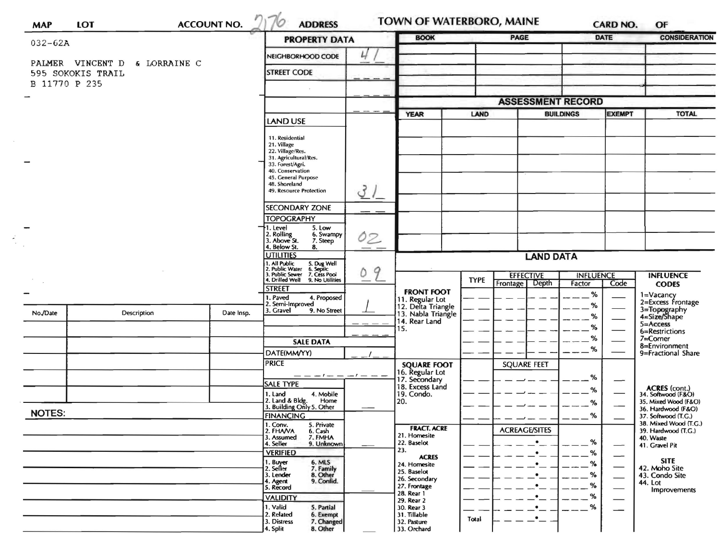| $032 - 62A$       |                               |                                                                                                                                       | <b>PROPERTY DATA</b>                                                                                                                                                                   |                  | <b>BOOK</b>                                                |             | <b>PAGE</b>              |                                   | <b>DATE</b>              | <b>CONSIDERATION</b>                                                                                              |
|-------------------|-------------------------------|---------------------------------------------------------------------------------------------------------------------------------------|----------------------------------------------------------------------------------------------------------------------------------------------------------------------------------------|------------------|------------------------------------------------------------|-------------|--------------------------|-----------------------------------|--------------------------|-------------------------------------------------------------------------------------------------------------------|
|                   |                               | 4<br>NEIGHBORHOOD CODE                                                                                                                |                                                                                                                                                                                        |                  |                                                            |             |                          |                                   |                          |                                                                                                                   |
| 595 SOKOKIS TRAIL | PALMER VINCENT D & LORRAINE C | <b>STREET CODE</b>                                                                                                                    |                                                                                                                                                                                        |                  |                                                            |             |                          |                                   |                          |                                                                                                                   |
| B 11770 P 235     |                               |                                                                                                                                       |                                                                                                                                                                                        |                  |                                                            |             |                          |                                   |                          |                                                                                                                   |
|                   |                               |                                                                                                                                       |                                                                                                                                                                                        |                  |                                                            |             | <b>ASSESSMENT RECORD</b> |                                   |                          |                                                                                                                   |
|                   |                               |                                                                                                                                       |                                                                                                                                                                                        |                  | <b>YEAR</b>                                                | LAND        |                          | <b>BUILDINGS</b><br><b>EXEMPT</b> |                          | <b>TOTAL</b>                                                                                                      |
|                   |                               |                                                                                                                                       | LAND USE                                                                                                                                                                               |                  |                                                            |             |                          |                                   |                          |                                                                                                                   |
|                   |                               |                                                                                                                                       | 11. Residential<br>21. Village<br>22. Village/Res.<br>31. Agricultural/Res.<br>33. Forest/Agri.<br>40. Conservation<br>45. General Purpose<br>48. Shoreland<br>49. Resource Protection | 31               |                                                            |             |                          |                                   |                          |                                                                                                                   |
|                   |                               |                                                                                                                                       | SECONDARY ZONE                                                                                                                                                                         |                  |                                                            |             |                          |                                   |                          |                                                                                                                   |
|                   |                               |                                                                                                                                       | <b>TOPOGRAPHY</b>                                                                                                                                                                      |                  |                                                            |             |                          |                                   |                          |                                                                                                                   |
|                   |                               |                                                                                                                                       | 1. Level<br>5. Low<br>2. Rolling<br>3. Above St.<br>6. Swampy                                                                                                                          | 02               |                                                            |             |                          |                                   |                          |                                                                                                                   |
|                   |                               | 7. Steep<br>4. Below St.<br>8.                                                                                                        |                                                                                                                                                                                        |                  |                                                            |             |                          |                                   |                          |                                                                                                                   |
|                   |                               | <b>UTILITIES</b>                                                                                                                      |                                                                                                                                                                                        | <b>LAND DATA</b> |                                                            |             |                          |                                   |                          |                                                                                                                   |
|                   |                               | 1. All Public<br>2. Public Water<br>3. Public Sewer<br>4. Drilled Well<br>5. Dug Well<br>6. Septic<br>7. Cess Pool<br>9. No Utilities | 9<br>٥                                                                                                                                                                                 |                  | <b>EFFECTIVE</b><br><b>INFLUENCE</b>                       |             |                          | <b>INFLUENCE</b>                  |                          |                                                                                                                   |
|                   |                               |                                                                                                                                       | <b>STREET</b>                                                                                                                                                                          |                  |                                                            | <b>TYPE</b> | Depth<br><b>Frontage</b> | Factor                            | Code                     | <b>CODES</b>                                                                                                      |
|                   |                               |                                                                                                                                       | I. Paved<br>4. Proposed                                                                                                                                                                |                  | <b>FRONT FOOT</b><br>11. Regular Lot<br>12. Delta Triangle |             |                          | %                                 |                          | 1=Vacancy<br>2=Excess Frontage                                                                                    |
| No./Date          | Description                   | Date Insp.                                                                                                                            | 2. Semi-Improved<br>3. Gravel<br>9. No Street                                                                                                                                          |                  | 13. Nabla Triangle                                         |             |                          | $\%$<br>%                         |                          | 3=Topography<br>4=Size/Shape<br>$5 =$ Access<br>6=Restrictions<br>7=Corner<br>8=Environment<br>9=Fractional Share |
|                   |                               |                                                                                                                                       |                                                                                                                                                                                        |                  | 14. Rear Land<br>15.                                       |             |                          | %                                 |                          |                                                                                                                   |
|                   |                               |                                                                                                                                       |                                                                                                                                                                                        |                  |                                                            |             |                          | %                                 |                          |                                                                                                                   |
|                   |                               |                                                                                                                                       | <b>SALE DATA</b>                                                                                                                                                                       |                  |                                                            |             |                          | %                                 |                          |                                                                                                                   |
|                   |                               |                                                                                                                                       | DATE(MM/YY)<br><b>PRICE</b><br>$-1-1$                                                                                                                                                  |                  | <b>SQUARE FOOT</b>                                         |             | <b>SQUARE FEET</b>       |                                   |                          |                                                                                                                   |
|                   |                               |                                                                                                                                       |                                                                                                                                                                                        |                  | 16. Regular Lot                                            |             |                          |                                   | %                        |                                                                                                                   |
|                   |                               |                                                                                                                                       | <b>SALE TYPE</b>                                                                                                                                                                       |                  | 17. Secondary<br>18. Excess Land                           |             |                          |                                   | —                        |                                                                                                                   |
|                   |                               |                                                                                                                                       | 1. Land<br>4. Mobile<br>Home                                                                                                                                                           |                  | 19. Condo.<br>20.                                          |             |                          | %                                 |                          | <b>ACRES</b> (cont.)<br>34. Softwood (F&O)<br>35. Mixed Wood (F&O)                                                |
| <b>NOTES:</b>     |                               |                                                                                                                                       | 2. Land & Bldg. Home<br>3. Building Only 5. Other<br><b>FINANCING</b><br>1. Conv.<br>5. Private                                                                                        |                  |                                                            |             |                          | %                                 |                          | 36. Hardwood (F&O)                                                                                                |
|                   |                               |                                                                                                                                       |                                                                                                                                                                                        |                  |                                                            |             |                          | %                                 |                          | 37. Softwood (T.G.)<br>38. Mixed Wood (T.G.)                                                                      |
|                   |                               |                                                                                                                                       | 2. FHAVA<br>6. Cash<br>7. FMHA<br>3. Assumed                                                                                                                                           |                  | <b>FRACT. ACRE</b><br>21. Homesite                         |             | <b>ACREAGE/SITES</b>     |                                   | 40. Waste                | 39. Hardwood (T.G.)                                                                                               |
|                   |                               |                                                                                                                                       | 9. Unknown<br>4. Seller                                                                                                                                                                |                  | 22. Baselot                                                |             | ٠                        | %                                 |                          | 41. Gravel Pit                                                                                                    |
|                   |                               |                                                                                                                                       | <b>VERIFIED</b>                                                                                                                                                                        |                  | 23.<br><b>ACRES</b>                                        |             |                          | %                                 | $\overline{\phantom{0}}$ | <b>SITE</b>                                                                                                       |
|                   |                               |                                                                                                                                       | 1. Buyer<br>2. Seller<br>6. MLS<br>7. Family                                                                                                                                           |                  | 24. Homesite<br>25. Baselot                                |             |                          | %                                 | —                        | 42. Moho Site                                                                                                     |
|                   |                               |                                                                                                                                       | 8. Other<br>9. Confid.<br>3. Lender<br>4. Agent<br>5. Record                                                                                                                           |                  | 26. Secondary                                              |             |                          | %<br>%                            |                          | 43. Condo Site<br>44. Lot                                                                                         |
|                   |                               |                                                                                                                                       |                                                                                                                                                                                        |                  | 27. Frontage<br>28. Rear 1                                 |             |                          | %                                 |                          | Improvements                                                                                                      |
|                   |                               |                                                                                                                                       | <b>VALIDITY</b><br>1. Valid<br>5. Partial                                                                                                                                              |                  | 29. Rear 2<br>30. Rear 3                                   |             | $\bullet$                | %                                 |                          |                                                                                                                   |
|                   |                               |                                                                                                                                       |                                                                                                                                                                                        |                  | 31. Tillable                                               | Total       | $\bullet$                |                                   |                          |                                                                                                                   |
|                   |                               |                                                                                                                                       | 3. Distress<br>7. Changed<br>8. Other<br>4. Split                                                                                                                                      |                  | 32. Pasture<br>33. Orchard                                 |             |                          |                                   |                          |                                                                                                                   |